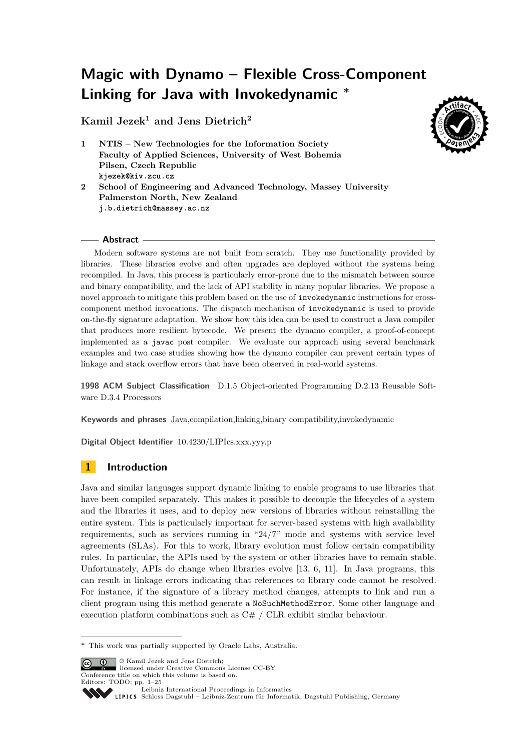# **Magic with Dynamo – Flexible Cross-Component Linking for Java with Invokedynamic <sup>∗</sup>**

**Kamil Jezek<sup>1</sup> and Jens Dietrich<sup>2</sup>**



- **1 NTIS New Technologies for the Information Society Faculty of Applied Sciences, University of West Bohemia Pilsen, Czech Republic kjezek@kiv.zcu.cz**
- **2 School of Engineering and Advanced Technology, Massey University Palmerston North, New Zealand j.b.dietrich@massey.ac.nz**

## **Abstract**

Modern software systems are not built from scratch. They use functionality provided by libraries. These libraries evolve and often upgrades are deployed without the systems being recompiled. In Java, this process is particularly error-prone due to the mismatch between source and binary compatibility, and the lack of API stability in many popular libraries. We propose a novel approach to mitigate this problem based on the use of invokedynamic instructions for crosscomponent method invocations. The dispatch mechanism of invokedynamic is used to provide on-the-fly signature adaptation. We show how this idea can be used to construct a Java compiler that produces more resilient bytecode. We present the dynamo compiler, a proof-of-concept implemented as a javac post compiler. We evaluate our approach using several benchmark examples and two case studies showing how the dynamo compiler can prevent certain types of linkage and stack overflow errors that have been observed in real-world systems.

**1998 ACM Subject Classification** D.1.5 Object-oriented Programming D.2.13 Reusable Software D.3.4 Processors

**Keywords and phrases** Java,compilation,linking,binary compatibility,invokedynamic

**Digital Object Identifier** [10.4230/LIPIcs.xxx.yyy.p](http://dx.doi.org/10.4230/LIPIcs.xxx.yyy.p)

# **1 Introduction**

Java and similar languages support dynamic linking to enable programs to use libraries that have been compiled separately. This makes it possible to decouple the lifecycles of a system and the libraries it uses, and to deploy new versions of libraries without reinstalling the entire system. This is particularly important for server-based systems with high availability requirements, such as services running in "24/7" mode and systems with service level agreements (SLAs). For this to work, library evolution must follow certain compatibility rules. In particular, the APIs used by the system or other libraries have to remain stable. Unfortunately, APIs do change when libraries evolve [\[13,](#page-23-0) [6,](#page-23-1) [11\]](#page-23-2). In Java programs, this can result in linkage errors indicating that references to library code cannot be resolved. For instance, if the signature of a library method changes, attempts to link and run a client program using this method generate a NoSuchMethodError. Some other language and execution platform combinations such as  $C# / CLR$  exhibit similar behaviour.

© Kamil Jezek and Jens Dietrich; licensed under Creative Commons License CC-BY

Conference title on which this volume is based on. Editors: TODO; pp. 1[–25](#page-24-0)



[Leibniz International Proceedings in Informatics](http://www.dagstuhl.de/lipics/) Leibniz international Froceedings in missimosischer Magstuhl Publishing, Germany<br>LIPICS [Schloss Dagstuhl – Leibniz-Zentrum für Informatik, Dagstuhl Publishing, Germany](http://www.dagstuhl.de)

**<sup>∗</sup>** This work was partially supported by Oracle Labs, Australia.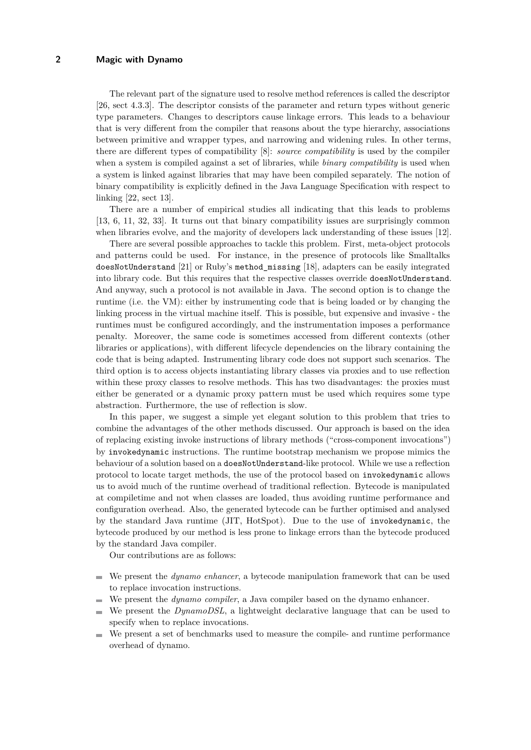The relevant part of the signature used to resolve method references is called the descriptor [\[26,](#page-24-1) sect 4.3.3]. The descriptor consists of the parameter and return types without generic type parameters. Changes to descriptors cause linkage errors. This leads to a behaviour that is very different from the compiler that reasons about the type hierarchy, associations between primitive and wrapper types, and narrowing and widening rules. In other terms, there are different types of compatibility [\[8\]](#page-23-3): *source compatibility* is used by the compiler when a system is compiled against a set of libraries, while *binary compatibility* is used when a system is linked against libraries that may have been compiled separately. The notion of binary compatibility is explicitly defined in the Java Language Specification with respect to linking [\[22,](#page-23-4) sect 13].

There are a number of empirical studies all indicating that this leads to problems [\[13,](#page-23-0) [6,](#page-23-1) [11,](#page-23-2) [32,](#page-24-2) [33\]](#page-24-3). It turns out that binary compatibility issues are surprisingly common when libraries evolve, and the majority of developers lack understanding of these issues [\[12\]](#page-23-5).

There are several possible approaches to tackle this problem. First, meta-object protocols and patterns could be used. For instance, in the presence of protocols like Smalltalks doesNotUnderstand [\[21\]](#page-23-6) or Ruby's method\_missing [\[18\]](#page-23-7), adapters can be easily integrated into library code. But this requires that the respective classes override doesNotUnderstand. And anyway, such a protocol is not available in Java. The second option is to change the runtime (i.e. the VM): either by instrumenting code that is being loaded or by changing the linking process in the virtual machine itself. This is possible, but expensive and invasive - the runtimes must be configured accordingly, and the instrumentation imposes a performance penalty. Moreover, the same code is sometimes accessed from different contexts (other libraries or applications), with different lifecycle dependencies on the library containing the code that is being adapted. Instrumenting library code does not support such scenarios. The third option is to access objects instantiating library classes via proxies and to use reflection within these proxy classes to resolve methods. This has two disadvantages: the proxies must either be generated or a dynamic proxy pattern must be used which requires some type abstraction. Furthermore, the use of reflection is slow.

In this paper, we suggest a simple yet elegant solution to this problem that tries to combine the advantages of the other methods discussed. Our approach is based on the idea of replacing existing invoke instructions of library methods ("cross-component invocations") by invokedynamic instructions. The runtime bootstrap mechanism we propose mimics the behaviour of a solution based on a doesNotUnderstand-like protocol. While we use a reflection protocol to locate target methods, the use of the protocol based on invokedynamic allows us to avoid much of the runtime overhead of traditional reflection. Bytecode is manipulated at compiletime and not when classes are loaded, thus avoiding runtime performance and configuration overhead. Also, the generated bytecode can be further optimised and analysed by the standard Java runtime (JIT, HotSpot). Due to the use of invokedynamic, the bytecode produced by our method is less prone to linkage errors than the bytecode produced by the standard Java compiler.

Our contributions are as follows:

- We present the *dynamo enhancer*, a bytecode manipulation framework that can be used to replace invocation instructions.
- We present the *dynamo compiler*, a Java compiler based on the dynamo enhancer.
- We present the *DynamoDSL*, a lightweight declarative language that can be used to  $\sim$ specify when to replace invocations.
- We present a set of benchmarks used to measure the compile- and runtime performance m. overhead of dynamo.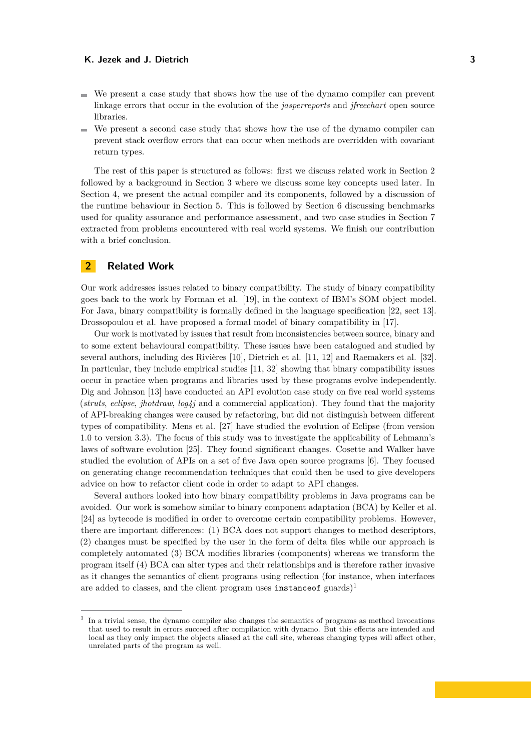- $\blacksquare$  We present a case study that shows how the use of the dynamo compiler can prevent linkage errors that occur in the evolution of the *jasperreports* and *jfreechart* open source libraries.
- We present a second case study that shows how the use of the dynamo compiler can prevent stack overflow errors that can occur when methods are overridden with covariant return types.

The rest of this paper is structured as follows: first we discuss related work in Section [2](#page-2-0) followed by a background in Section [3](#page-3-0) where we discuss some key concepts used later. In Section 4, we present the actual compiler and its components, followed by a discussion of the runtime behaviour in Section 5. This is followed by Section [6](#page-13-0) discussing benchmarks used for quality assurance and performance assessment, and two case studies in Section [7](#page-16-0) extracted from problems encountered with real world systems. We finish our contribution with a brief conclusion.

## <span id="page-2-0"></span>**2 Related Work**

Our work addresses issues related to binary compatibility. The study of binary compatibility goes back to the work by Forman et al. [\[19\]](#page-23-8), in the context of IBM's SOM object model. For Java, binary compatibility is formally defined in the language specification [\[22,](#page-23-4) sect 13]. Drossopoulou et al. have proposed a formal model of binary compatibility in [\[17\]](#page-23-9).

Our work is motivated by issues that result from inconsistencies between source, binary and to some extent behavioural compatibility. These issues have been catalogued and studied by several authors, including des Rivières [\[10\]](#page-23-10), Dietrich et al. [\[11,](#page-23-2) [12\]](#page-23-5) and Raemakers et al. [\[32\]](#page-24-2). In particular, they include empirical studies [\[11,](#page-23-2) [32\]](#page-24-2) showing that binary compatibility issues occur in practice when programs and libraries used by these programs evolve independently. Dig and Johnson [\[13\]](#page-23-0) have conducted an API evolution case study on five real world systems (*struts*, *eclipse*, *jhotdraw*, *log4j* and a commercial application). They found that the majority of API-breaking changes were caused by refactoring, but did not distinguish between different types of compatibility. Mens et al. [\[27\]](#page-24-4) have studied the evolution of Eclipse (from version 1.0 to version 3.3). The focus of this study was to investigate the applicability of Lehmann's laws of software evolution [\[25\]](#page-24-5). They found significant changes. Cosette and Walker have studied the evolution of APIs on a set of five Java open source programs [\[6\]](#page-23-1). They focused on generating change recommendation techniques that could then be used to give developers advice on how to refactor client code in order to adapt to API changes.

Several authors looked into how binary compatibility problems in Java programs can be avoided. Our work is somehow similar to binary component adaptation (BCA) by Keller et al. [\[24\]](#page-24-6) as bytecode is modified in order to overcome certain compatibility problems. However, there are important differences: (1) BCA does not support changes to method descriptors, (2) changes must be specified by the user in the form of delta files while our approach is completely automated (3) BCA modifies libraries (components) whereas we transform the program itself (4) BCA can alter types and their relationships and is therefore rather invasive as it changes the semantics of client programs using reflection (for instance, when interfaces are added to classes, and the client program uses instance of guards)<sup>[1](#page-2-1)</sup>

<span id="page-2-1"></span><sup>1</sup> In a trivial sense, the dynamo compiler also changes the semantics of programs as method invocations that used to result in errors succeed after compilation with dynamo. But this effects are intended and local as they only impact the objects aliased at the call site, whereas changing types will affect other, unrelated parts of the program as well.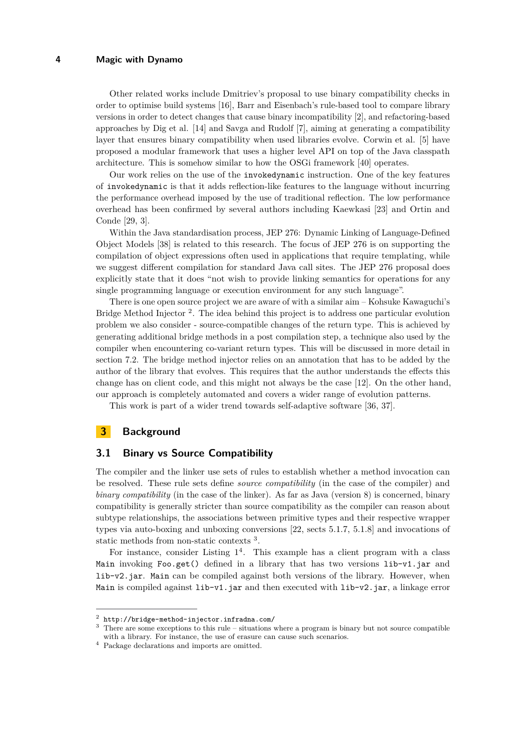Other related works include Dmitriev's proposal to use binary compatibility checks in order to optimise build systems [\[16\]](#page-23-11), Barr and Eisenbach's rule-based tool to compare library versions in order to detect changes that cause binary incompatibility [\[2\]](#page-23-12), and refactoring-based approaches by Dig et al. [\[14\]](#page-23-13) and Savga and Rudolf [\[7\]](#page-23-14), aiming at generating a compatibility layer that ensures binary compatibility when used libraries evolve. Corwin et al. [\[5\]](#page-23-15) have proposed a modular framework that uses a higher level API on top of the Java classpath architecture. This is somehow similar to how the OSGi framework [\[40\]](#page-24-7) operates.

Our work relies on the use of the invokedynamic instruction. One of the key features of invokedynamic is that it adds reflection-like features to the language without incurring the performance overhead imposed by the use of traditional reflection. The low performance overhead has been confirmed by several authors including Kaewkasi [\[23\]](#page-23-16) and Ortin and Conde [\[29,](#page-24-8) [3\]](#page-23-17).

Within the Java standardisation process, JEP 276: Dynamic Linking of Language-Defined Object Models [\[38\]](#page-24-9) is related to this research. The focus of JEP 276 is on supporting the compilation of object expressions often used in applications that require templating, while we suggest different compilation for standard Java call sites. The JEP 276 proposal does explicitly state that it does "not wish to provide linking semantics for operations for any single programming language or execution environment for any such language".

There is one open source project we are aware of with a similar aim – Kohsuke Kawaguchi's Bridge Method Injector<sup>[2](#page-3-1)</sup>. The idea behind this project is to address one particular evolution problem we also consider - source-compatible changes of the return type. This is achieved by generating additional bridge methods in a post compilation step, a technique also used by the compiler when encountering co-variant return types. This will be discussed in more detail in section [7.2.](#page-19-0) The bridge method injector relies on an annotation that has to be added by the author of the library that evolves. This requires that the author understands the effects this change has on client code, and this might not always be the case [\[12\]](#page-23-5). On the other hand, our approach is completely automated and covers a wider range of evolution patterns.

This work is part of a wider trend towards self-adaptive software [\[36,](#page-24-10) [37\]](#page-24-11).

## <span id="page-3-0"></span>**3 Background**

# **3.1 Binary vs Source Compatibility**

The compiler and the linker use sets of rules to establish whether a method invocation can be resolved. These rule sets define *source compatibility* (in the case of the compiler) and *binary compatibility* (in the case of the linker). As far as Java (version 8) is concerned, binary compatibility is generally stricter than source compatibility as the compiler can reason about subtype relationships, the associations between primitive types and their respective wrapper types via auto-boxing and unboxing conversions [\[22,](#page-23-4) sects 5.1.7, 5.1.8] and invocations of static methods from non-static contexts [3](#page-3-2) .

For instance, consider Listing  $1^4$  $1^4$ . This example has a client program with a class Main invoking Foo.get() defined in a library that has two versions lib-v1.jar and lib-v2.jar. Main can be compiled against both versions of the library. However, when Main is compiled against  $\text{lib-v1.}jar$  and then executed with  $\text{lib-v2.}jar$ , a linkage error

<span id="page-3-1"></span> $^{2}$  <http://bridge-method-injector.infradna.com/>

<span id="page-3-2"></span><sup>&</sup>lt;sup>3</sup> There are some exceptions to this rule – situations where a program is binary but not source compatible with a library. For instance, the use of erasure can cause such scenarios.

<span id="page-3-3"></span><sup>4</sup> Package declarations and imports are omitted.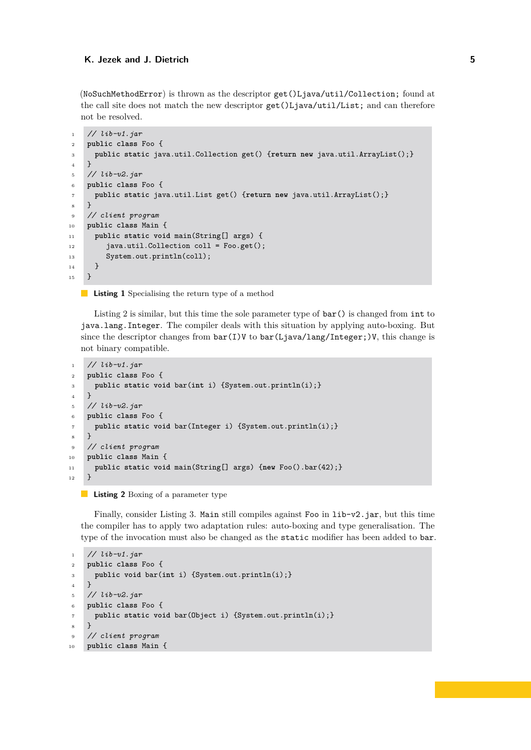(NoSuchMethodError) is thrown as the descriptor get()Ljava/util/Collection; found at the call site does not match the new descriptor get()Ljava/util/List; and can therefore not be resolved.

```
1 // lib-v1.jar
2 public class Foo {
3 public static java.util.Collection get() {return new java.util.ArrayList();}
4 }
5 // lib-v2.jar
6 public class Foo {
7 public static java.util.List get() {return new java.util.ArrayList();}
8 }
9 // client program
10 public class Main {
11 public static void main(String[] args) {
12 java.util.Collection coll = Foo.get();
13 System.out.println(coll);
14 }
15 }
```
**Listing 1** Specialising the return type of a method

Listing [2](#page-4-1) is similar, but this time the sole parameter type of  $bar()$  is changed from int to java.lang.Integer. The compiler deals with this situation by applying auto-boxing. But since the descriptor changes from  $bar(I)V$  to  $bar(Ljava/lang/Integer;)V$ , this change is not binary compatible.

```
1 // lib-v1.jar
2 public class Foo {
3 public static void bar(int i) {System.out.println(i);}
4 }
5 // lib-v2.jar
6 public class Foo {
7 public static void bar(Integer i) {System.out.println(i);}
8 }
9 // client program
10 public class Main {
11 public static void main(String[] args) {new Foo().bar(42);}
12 \quad \frac{1}{2}
```
#### **Listing 2** Boxing of a parameter type

Finally, consider Listing [3.](#page-4-2) Main still compiles against Foo in lib-v2.jar, but this time the compiler has to apply two adaptation rules: auto-boxing and type generalisation. The type of the invocation must also be changed as the static modifier has been added to bar.

```
1 // lib-v1.jar
2 public class Foo {
3 public void bar(int i) {System.out.println(i);}
\overline{4}5 // lib-v2.jar
6 public class Foo {
7 public static void bar(Object i) {System.out.println(i);}
8 }
9 // client program
10 public class Main {
```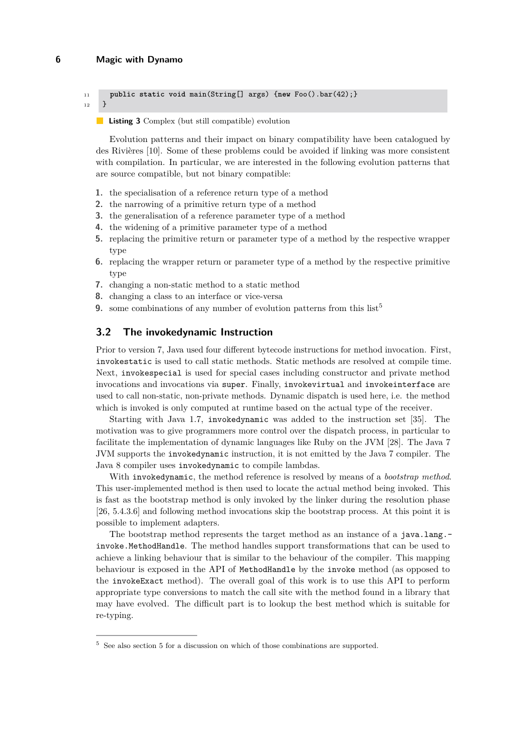```
11 public static void main(String[] args) {new Foo().bar(42);}
```
 $_{12}$  }

#### **Listing 3** Complex (but still compatible) evolution

Evolution patterns and their impact on binary compatibility have been catalogued by des Rivières [\[10\]](#page-23-10). Some of these problems could be avoided if linking was more consistent with compilation. In particular, we are interested in the following evolution patterns that are source compatible, but not binary compatible:

- **1.** the specialisation of a reference return type of a method
- **2.** the narrowing of a primitive return type of a method
- **3.** the generalisation of a reference parameter type of a method
- **4.** the widening of a primitive parameter type of a method
- **5.** replacing the primitive return or parameter type of a method by the respective wrapper type
- **6.** replacing the wrapper return or parameter type of a method by the respective primitive type
- **7.** changing a non-static method to a static method
- **8.** changing a class to an interface or vice-versa
- **9.** some combinations of any number of evolution patterns from this  $list^5$  $list^5$

## **3.2 The invokedynamic Instruction**

Prior to version 7, Java used four different bytecode instructions for method invocation. First, invokestatic is used to call static methods. Static methods are resolved at compile time. Next, invokespecial is used for special cases including constructor and private method invocations and invocations via super. Finally, invokevirtual and invokeinterface are used to call non-static, non-private methods. Dynamic dispatch is used here, i.e. the method which is invoked is only computed at runtime based on the actual type of the receiver.

Starting with Java 1.7, invokedynamic was added to the instruction set [\[35\]](#page-24-12). The motivation was to give programmers more control over the dispatch process, in particular to facilitate the implementation of dynamic languages like Ruby on the JVM [\[28\]](#page-24-13). The Java 7 JVM supports the invokedynamic instruction, it is not emitted by the Java 7 compiler. The Java 8 compiler uses invokedynamic to compile lambdas.

With invokedynamic, the method reference is resolved by means of a *bootstrap method*. This user-implemented method is then used to locate the actual method being invoked. This is fast as the bootstrap method is only invoked by the linker during the resolution phase [\[26,](#page-24-1) 5.4.3.6] and following method invocations skip the bootstrap process. At this point it is possible to implement adapters.

The bootstrap method represents the target method as an instance of a java.lang. invoke.MethodHandle. The method handles support transformations that can be used to achieve a linking behaviour that is similar to the behaviour of the compiler. This mapping behaviour is exposed in the API of MethodHandle by the invoke method (as opposed to the invokeExact method). The overall goal of this work is to use this API to perform appropriate type conversions to match the call site with the method found in a library that may have evolved. The difficult part is to lookup the best method which is suitable for re-typing.

<span id="page-5-0"></span><sup>5</sup> See also section [5](#page-10-0) for a discussion on which of those combinations are supported.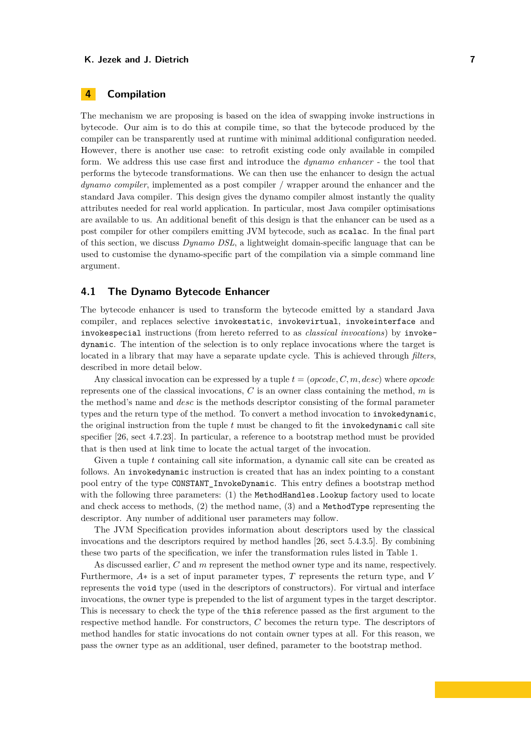# **4 Compilation**

The mechanism we are proposing is based on the idea of swapping invoke instructions in bytecode. Our aim is to do this at compile time, so that the bytecode produced by the compiler can be transparently used at runtime with minimal additional configuration needed. However, there is another use case: to retrofit existing code only available in compiled form. We address this use case first and introduce the *dynamo enhancer* - the tool that performs the bytecode transformations. We can then use the enhancer to design the actual *dynamo compiler*, implemented as a post compiler / wrapper around the enhancer and the standard Java compiler. This design gives the dynamo compiler almost instantly the quality attributes needed for real world application. In particular, most Java compiler optimisations are available to us. An additional benefit of this design is that the enhancer can be used as a post compiler for other compilers emitting JVM bytecode, such as scalac. In the final part of this section, we discuss *Dynamo DSL*, a lightweight domain-specific language that can be used to customise the dynamo-specific part of the compilation via a simple command line argument.

### **4.1 The Dynamo Bytecode Enhancer**

The bytecode enhancer is used to transform the bytecode emitted by a standard Java compiler, and replaces selective invokestatic, invokevirtual, invokeinterface and invokespecial instructions (from hereto referred to as *classical invocations*) by invokedynamic. The intention of the selection is to only replace invocations where the target is located in a library that may have a separate update cycle. This is achieved through *filters*, described in more detail below.

Any classical invocation can be expressed by a tuple *t* = (*opcode, C, m, desc*) where *opcode* represents one of the classical invocations, *C* is an owner class containing the method, *m* is the method's name and *desc* is the methods descriptor consisting of the formal parameter types and the return type of the method. To convert a method invocation to invokedynamic, the original instruction from the tuple *t* must be changed to fit the invokedynamic call site specifier [\[26,](#page-24-1) sect 4.7.23]. In particular, a reference to a bootstrap method must be provided that is then used at link time to locate the actual target of the invocation.

Given a tuple *t* containing call site information, a dynamic call site can be created as follows. An invokedynamic instruction is created that has an index pointing to a constant pool entry of the type CONSTANT\_InvokeDynamic. This entry defines a bootstrap method with the following three parameters: (1) the MethodHandles. Lookup factory used to locate and check access to methods, (2) the method name, (3) and a MethodType representing the descriptor. Any number of additional user parameters may follow.

The JVM Specification provides information about descriptors used by the classical invocations and the descriptors required by method handles [\[26,](#page-24-1) sect 5.4.3.5]. By combining these two parts of the specification, we infer the transformation rules listed in Table [1.](#page-7-0)

As discussed earlier, *C* and *m* represent the method owner type and its name, respectively. Furthermore, *A*∗ is a set of input parameter types, *T* represents the return type, and *V* represents the void type (used in the descriptors of constructors). For virtual and interface invocations, the owner type is prepended to the list of argument types in the target descriptor. This is necessary to check the type of the this reference passed as the first argument to the respective method handle. For constructors, *C* becomes the return type. The descriptors of method handles for static invocations do not contain owner types at all. For this reason, we pass the owner type as an additional, user defined, parameter to the bootstrap method.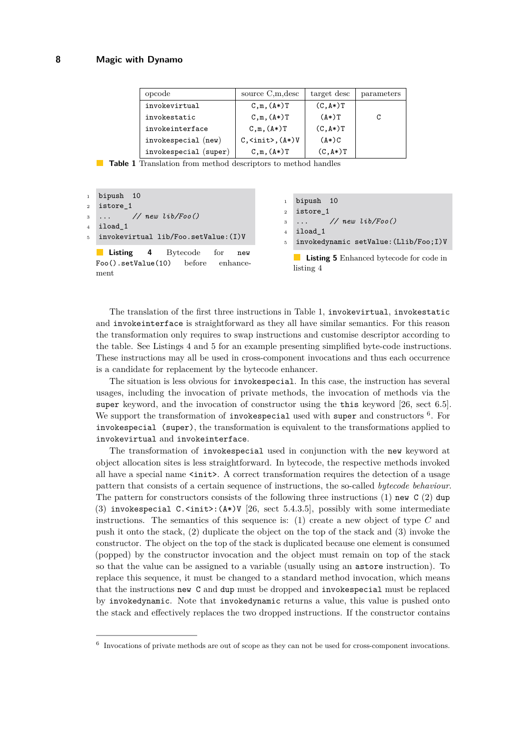<span id="page-7-0"></span>

| opcode                | source C,m, desc                            | target desc | parameters |
|-----------------------|---------------------------------------------|-------------|------------|
| invokevirtual         | $C, m, (A*)T$                               | $(C, A*)T$  |            |
| invokestatic          | $C, m, (A*)T$                               | $(A*)T$     | C          |
| invokeinterface       | $C,m,(A*)T$                                 | $(C, A*)T$  |            |
| invokespecial (new)   | $C, \langle \text{init} \rangle, (\land *)$ | $(A*)C$     |            |
| invokespecial (super) | $C, m, (A*)T$                               | $(C, A*)T$  |            |

**Table 1** Translation from method descriptors to method handles

```
1 bipush 10
2 istore_1
3 ... // new lib/Foo()
4 iload_1
  invokevirtual lib/Foo.setValue: (I)V
```
**Listing 4** Bytecode for new Foo().setValue(10) before enhancement

```
bipush 10
2 istore_1
3 ... // new lib/Foo()
4 iload 1
  5 invokedynamic setValue:(Llib/Foo;I)V
```
**Listing 5** Enhanced bytecode for code in listing [4](#page-7-1)

The translation of the first three instructions in Table [1,](#page-7-0) invokevirtual, invokestatic and invokeinterface is straightforward as they all have similar semantics. For this reason the transformation only requires to swap instructions and customise descriptor according to the table. See Listings [4](#page-7-1) and [5](#page-7-2) for an example presenting simplified byte-code instructions. These instructions may all be used in cross-component invocations and thus each occurrence is a candidate for replacement by the bytecode enhancer.

The situation is less obvious for invokespecial. In this case, the instruction has several usages, including the invocation of private methods, the invocation of methods via the super keyword, and the invocation of constructor using the this keyword [\[26,](#page-24-1) sect 6.5]. We support the transformation of invokespecial used with super and constructors <sup>[6](#page-7-3)</sup>. For invokespecial (super), the transformation is equivalent to the transformations applied to invokevirtual and invokeinterface.

The transformation of invokespecial used in conjunction with the new keyword at object allocation sites is less straightforward. In bytecode, the respective methods invoked all have a special name  $\text{Sint}$ . A correct transformation requires the detection of a usage pattern that consists of a certain sequence of instructions, the so-called *bytecode behaviour*. The pattern for constructors consists of the following three instructions (1) new  $C(2)$  dup (3) invokespecial  $C.\n<sub>init</sub>: (A*)V [26, sect 5.4.3.5], possibly with some intermediate$  $C.\n<sub>init</sub>: (A*)V [26, sect 5.4.3.5], possibly with some intermediate$  $C.\n<sub>init</sub>: (A*)V [26, sect 5.4.3.5], possibly with some intermediate$ instructions. The semantics of this sequence is: (1) create a new object of type *C* and push it onto the stack, (2) duplicate the object on the top of the stack and (3) invoke the constructor. The object on the top of the stack is duplicated because one element is consumed (popped) by the constructor invocation and the object must remain on top of the stack so that the value can be assigned to a variable (usually using an astore instruction). To replace this sequence, it must be changed to a standard method invocation, which means that the instructions new C and dup must be dropped and invokespecial must be replaced by invokedynamic. Note that invokedynamic returns a value, this value is pushed onto the stack and effectively replaces the two dropped instructions. If the constructor contains

<span id="page-7-3"></span><sup>&</sup>lt;sup>6</sup> Invocations of private methods are out of scope as they can not be used for cross-component invocations.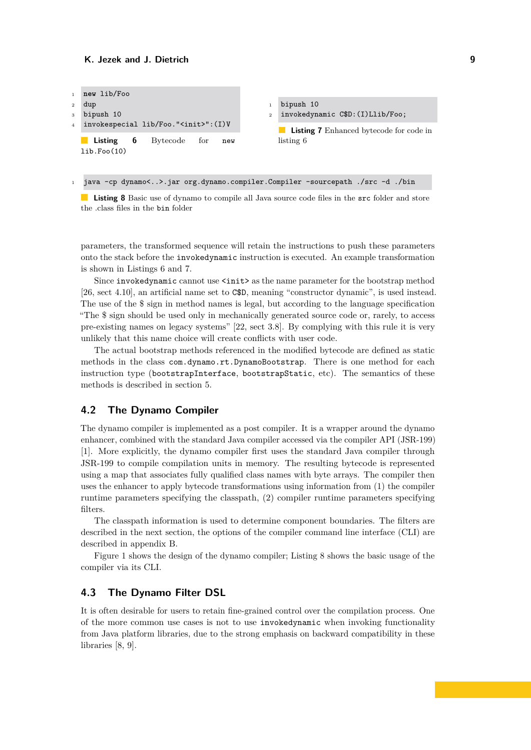<span id="page-8-0"></span>

<span id="page-8-2"></span><span id="page-8-1"></span><sup>1</sup> java -cp dynamo<..>.jar org.dynamo.compiler.Compiler -sourcepath ./src -d ./bin

**Listing 8** Basic use of dynamo to compile all Java source code files in the src folder and store the .class files in the bin folder

parameters, the transformed sequence will retain the instructions to push these parameters onto the stack before the invokedynamic instruction is executed. An example transformation is shown in Listings [6](#page-8-0) and [7.](#page-8-1)

Since invokedynamic cannot use  $\langle \text{init} \rangle$  as the name parameter for the bootstrap method [\[26,](#page-24-1) sect 4.10], an artificial name set to C\$D, meaning "constructor dynamic", is used instead. The use of the \$ sign in method names is legal, but according to the language specification "The \$ sign should be used only in mechanically generated source code or, rarely, to access pre-existing names on legacy systems" [\[22,](#page-23-4) sect 3.8]. By complying with this rule it is very unlikely that this name choice will create conflicts with user code.

The actual bootstrap methods referenced in the modified bytecode are defined as static methods in the class com.dynamo.rt.DynamoBootstrap. There is one method for each instruction type (bootstrapInterface, bootstrapStatic, etc). The semantics of these methods is described in section [5.](#page-10-0)

## **4.2 The Dynamo Compiler**

The dynamo compiler is implemented as a post compiler. It is a wrapper around the dynamo enhancer, combined with the standard Java compiler accessed via the compiler API (JSR-199) [\[1\]](#page-23-18). More explicitly, the dynamo compiler first uses the standard Java compiler through JSR-199 to compile compilation units in memory. The resulting bytecode is represented using a map that associates fully qualified class names with byte arrays. The compiler then uses the enhancer to apply bytecode transformations using information from (1) the compiler runtime parameters specifying the classpath, (2) compiler runtime parameters specifying filters.

The classpath information is used to determine component boundaries. The filters are described in the next section, the options of the compiler command line interface (CLI) are described in appendix [B.](#page-22-0)

Figure [1](#page-9-0) shows the design of the dynamo compiler; Listing [8](#page-8-2) shows the basic usage of the compiler via its CLI.

## <span id="page-8-3"></span>**4.3 The Dynamo Filter DSL**

It is often desirable for users to retain fine-grained control over the compilation process. One of the more common use cases is not to use invokedynamic when invoking functionality from Java platform libraries, due to the strong emphasis on backward compatibility in these libraries [\[8,](#page-23-3) [9\]](#page-23-19).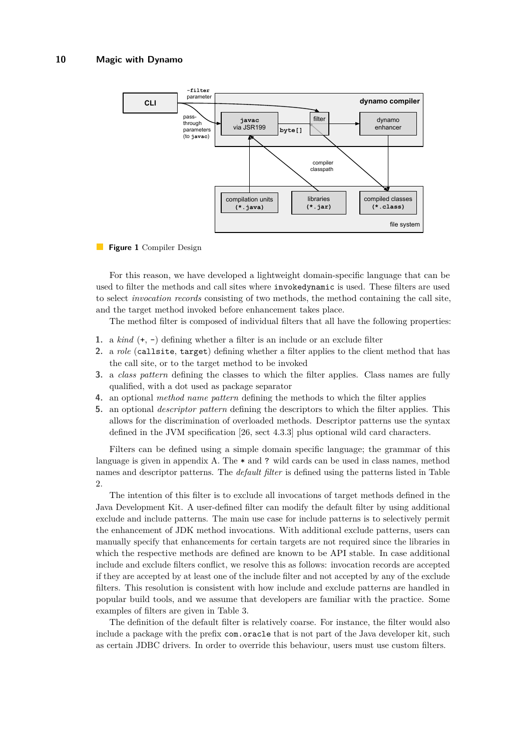<span id="page-9-0"></span>

#### **Figure 1** Compiler Design

For this reason, we have developed a lightweight domain-specific language that can be used to filter the methods and call sites where invokedynamic is used. These filters are used to select *invocation records* consisting of two methods, the method containing the call site, and the target method invoked before enhancement takes place.

The method filter is composed of individual filters that all have the following properties:

- **1.** a *kind* (+, -) defining whether a filter is an include or an exclude filter
- **2.** a *role* (callsite, target) defining whether a filter applies to the client method that has the call site, or to the target method to be invoked
- **3.** a *class pattern* defining the classes to which the filter applies. Class names are fully qualified, with a dot used as package separator
- **4.** an optional *method name pattern* defining the methods to which the filter applies
- **5.** an optional *descriptor pattern* defining the descriptors to which the filter applies. This allows for the discrimination of overloaded methods. Descriptor patterns use the syntax defined in the JVM specification [\[26,](#page-24-1) sect 4.3.3] plus optional wild card characters.

Filters can be defined using a simple domain specific language; the grammar of this language is given in appendix [A.](#page-22-1) The \* and ? wild cards can be used in class names, method names and descriptor patterns. The *default filter* is defined using the patterns listed in Table [2.](#page-10-1)

The intention of this filter is to exclude all invocations of target methods defined in the Java Development Kit. A user-defined filter can modify the default filter by using additional exclude and include patterns. The main use case for include patterns is to selectively permit the enhancement of JDK method invocations. With additional exclude patterns, users can manually specify that enhancements for certain targets are not required since the libraries in which the respective methods are defined are known to be API stable. In case additional include and exclude filters conflict, we resolve this as follows: invocation records are accepted if they are accepted by at least one of the include filter and not accepted by any of the exclude filters. This resolution is consistent with how include and exclude patterns are handled in popular build tools, and we assume that developers are familiar with the practice. Some examples of filters are given in Table [3.](#page-10-2)

The definition of the default filter is relatively coarse. For instance, the filter would also include a package with the prefix com.oracle that is not part of the Java developer kit, such as certain JDBC drivers. In order to override this behaviour, users must use custom filters.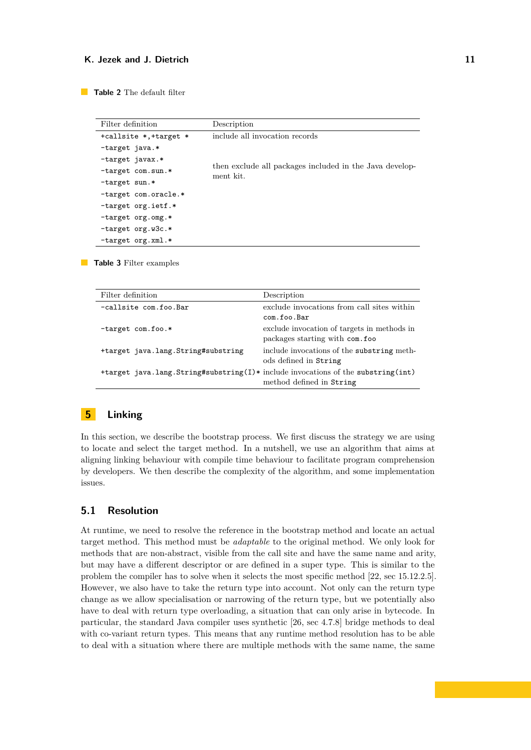<span id="page-10-1"></span>**Table 2** The default filter

| Filter definition      | Description                                                          |
|------------------------|----------------------------------------------------------------------|
| +callsite *, +target * | include all invocation records                                       |
| -target java.*         |                                                                      |
| -target javax.*        |                                                                      |
| -target com.sun.*      | then exclude all packages included in the Java develop-<br>ment kit. |
| $-$ target sun.*       |                                                                      |
| -target com.oracle.*   |                                                                      |
| -target org.ietf.*     |                                                                      |
| -target org.omg.*      |                                                                      |
| $-$ target org.w3c.*   |                                                                      |
| $-$ target org.xml.*   |                                                                      |

<span id="page-10-2"></span>**Table 3** Filter examples

| Filter definition                                                                | Description                                 |
|----------------------------------------------------------------------------------|---------------------------------------------|
| -callsite com.foo.Bar                                                            | exclude invocations from call sites within  |
|                                                                                  | com.foo.Bar                                 |
| $-$ target com.foo.*                                                             | exclude invocation of targets in methods in |
|                                                                                  | packages starting with com.foo              |
| +target java.lang.String#substring                                               | include invocations of the substring meth-  |
|                                                                                  | ods defined in String                       |
| +target java.lang.String#substring(I)* include invocations of the substring(int) |                                             |
|                                                                                  | method defined in String                    |

# <span id="page-10-0"></span>**5 Linking**

In this section, we describe the bootstrap process. We first discuss the strategy we are using to locate and select the target method. In a nutshell, we use an algorithm that aims at aligning linking behaviour with compile time behaviour to facilitate program comprehension by developers. We then describe the complexity of the algorithm, and some implementation issues.

# <span id="page-10-3"></span>**5.1 Resolution**

At runtime, we need to resolve the reference in the bootstrap method and locate an actual target method. This method must be *adaptable* to the original method. We only look for methods that are non-abstract, visible from the call site and have the same name and arity, but may have a different descriptor or are defined in a super type. This is similar to the problem the compiler has to solve when it selects the most specific method [\[22,](#page-23-4) sec 15.12.2.5]. However, we also have to take the return type into account. Not only can the return type change as we allow specialisation or narrowing of the return type, but we potentially also have to deal with return type overloading, a situation that can only arise in bytecode. In particular, the standard Java compiler uses synthetic [\[26,](#page-24-1) sec 4.7.8] bridge methods to deal with co-variant return types. This means that any runtime method resolution has to be able to deal with a situation where there are multiple methods with the same name, the same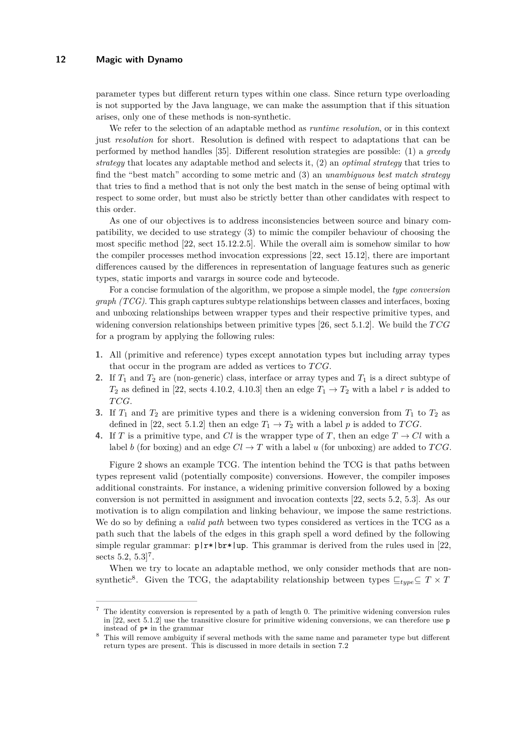parameter types but different return types within one class. Since return type overloading is not supported by the Java language, we can make the assumption that if this situation arises, only one of these methods is non-synthetic.

We refer to the selection of an adaptable method as *runtime resolution*, or in this context just *resolution* for short. Resolution is defined with respect to adaptations that can be performed by method handles [\[35\]](#page-24-12). Different resolution strategies are possible: (1) a *greedy strategy* that locates any adaptable method and selects it, (2) an *optimal strategy* that tries to find the "best match" according to some metric and (3) an *unambiguous best match strategy* that tries to find a method that is not only the best match in the sense of being optimal with respect to some order, but must also be strictly better than other candidates with respect to this order.

As one of our objectives is to address inconsistencies between source and binary compatibility, we decided to use strategy (3) to mimic the compiler behaviour of choosing the most specific method [\[22,](#page-23-4) sect 15.12.2.5]. While the overall aim is somehow similar to how the compiler processes method invocation expressions [\[22,](#page-23-4) sect 15.12], there are important differences caused by the differences in representation of language features such as generic types, static imports and varargs in source code and bytecode.

For a concise formulation of the algorithm, we propose a simple model, the *type conversion graph (TCG)*. This graph captures subtype relationships between classes and interfaces, boxing and unboxing relationships between wrapper types and their respective primitive types, and widening conversion relationships between primitive types [\[26,](#page-24-1) sect 5.1.2]. We build the *T CG* for a program by applying the following rules:

- **1.** All (primitive and reference) types except annotation types but including array types that occur in the program are added as vertices to *T CG*.
- **2.** If  $T_1$  and  $T_2$  are (non-generic) class, interface or array types and  $T_1$  is a direct subtype of  $T_2$  as defined in [\[22,](#page-23-4) sects 4.10.2, 4.10.3] then an edge  $T_1 \rightarrow T_2$  with a label *r* is added to *T CG*.
- **3.** If  $T_1$  and  $T_2$  are primitive types and there is a widening conversion from  $T_1$  to  $T_2$  as defined in [\[22,](#page-23-4) sect 5.1.2] then an edge  $T_1 \rightarrow T_2$  with a label p is added to *TCG*.
- **4.** If *T* is a primitive type, and *Cl* is the wrapper type of *T*, then an edge  $T \rightarrow Cl$  with a label *b* (for boxing) and an edge  $Cl \rightarrow T$  with a label *u* (for unboxing) are added to *TCG*.

Figure [2](#page-12-0) shows an example TCG. The intention behind the TCG is that paths between types represent valid (potentially composite) conversions. However, the compiler imposes additional constraints. For instance, a widening primitive conversion followed by a boxing conversion is not permitted in assignment and invocation contexts [\[22,](#page-23-4) sects 5.2, 5.3]. As our motivation is to align compilation and linking behaviour, we impose the same restrictions. We do so by defining a *valid path* between two types considered as vertices in the TCG as a path such that the labels of the edges in this graph spell a word defined by the following simple regular grammar:  $p|x*|$ br\*|up. This grammar is derived from the rules used in [\[22,](#page-23-4) sects  $5.2, 5.3$ <sup>[7](#page-11-0)</sup>.

When we try to locate an adaptable method, we only consider methods that are non-synthetic<sup>[8](#page-11-1)</sup>. Given the TCG, the adaptability relationship between types  $\sqsubseteq_{type} \subseteq T \times T$ 

<span id="page-11-0"></span><sup>7</sup> The identity conversion is represented by a path of length 0. The primitive widening conversion rules in [\[22,](#page-23-4) sect 5.1.2] use the transitive closure for primitive widening conversions, we can therefore use p instead of p\* in the grammar

<span id="page-11-1"></span><sup>8</sup> This will remove ambiguity if several methods with the same name and parameter type but different return types are present. This is discussed in more details in section [7.2](#page-19-0)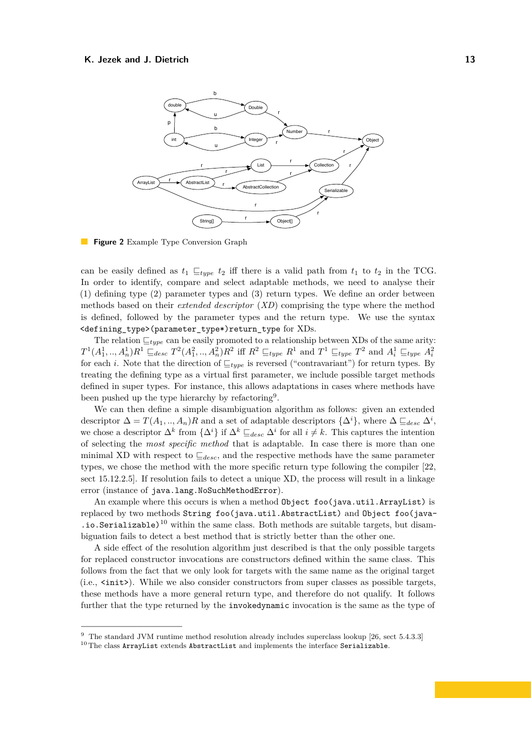<span id="page-12-0"></span>

**Figure 2** Example Type Conversion Graph

can be easily defined as  $t_1 \sqsubseteq_{type} t_2$  iff there is a valid path from  $t_1$  to  $t_2$  in the TCG. In order to identify, compare and select adaptable methods, we need to analyse their (1) defining type (2) parameter types and (3) return types. We define an order between methods based on their *extended descriptor* (*XD*) comprising the type where the method is defined, followed by the parameter types and the return type. We use the syntax <defining\_type>(parameter\_type\*)return\_type for XDs.

The relation  $\sqsubseteq_{type}$  can be easily promoted to a relationship between XDs of the same arity:  $T^1(A_1^1, \ldots, A_n^1)R^1 \sqsubseteq_{desc} T^2(A_1^2, \ldots, A_n^2)R^2$  iff  $R^2 \sqsubseteq_{type} R^1$  and  $T^1 \sqsubseteq_{type} T^2$  and  $A_i^1 \sqsubseteq_{type} A_i^2$ for each *i*. Note that the direction of  $\mathcal{L}_{type}$  is reversed ("contravariant") for return types. By treating the defining type as a virtual first parameter, we include possible target methods defined in super types. For instance, this allows adaptations in cases where methods have been pushed up the type hierarchy by refactoring<sup>[9](#page-12-1)</sup>.

We can then define a simple disambiguation algorithm as follows: given an extended descriptor  $\Delta = T(A_1, ..., A_n)R$  and a set of adaptable descriptors  $\{\Delta^i\}$ , where  $\Delta \sqsubseteq_{desc} \Delta^i$ , we chose a descriptor  $\Delta^k$  from  $\{\Delta^i\}$  if  $\Delta^k \sqsubseteq_{desc} \Delta^i$  for all  $i \neq k$ . This captures the intention of selecting the *most specific method* that is adaptable. In case there is more than one minimal XD with respect to  $\mathcal{L}_{desc}$ , and the respective methods have the same parameter types, we chose the method with the more specific return type following the compiler [\[22,](#page-23-4) sect 15.12.2.5]. If resolution fails to detect a unique XD, the process will result in a linkage error (instance of java.lang.NoSuchMethodError).

An example where this occurs is when a method Object foo(java.util.ArrayList) is replaced by two methods String foo(java.util.AbstractList) and Object foo(java-  $\cdot$  io. Serializable)<sup>[10](#page-12-2)</sup> within the same class. Both methods are suitable targets, but disambiguation fails to detect a best method that is strictly better than the other one.

A side effect of the resolution algorithm just described is that the only possible targets for replaced constructor invocations are constructors defined within the same class. This follows from the fact that we only look for targets with the same name as the original target (i.e., <init>). While we also consider constructors from super classes as possible targets, these methods have a more general return type, and therefore do not qualify. It follows further that the type returned by the invokedynamic invocation is the same as the type of

<span id="page-12-1"></span><sup>9</sup> The standard JVM runtime method resolution already includes superclass lookup [\[26,](#page-24-1) sect 5.4.3.3]

<span id="page-12-2"></span> $^{10}\mathrm{The}$  class ArrayList extends AbstractList and implements the interface Serializable.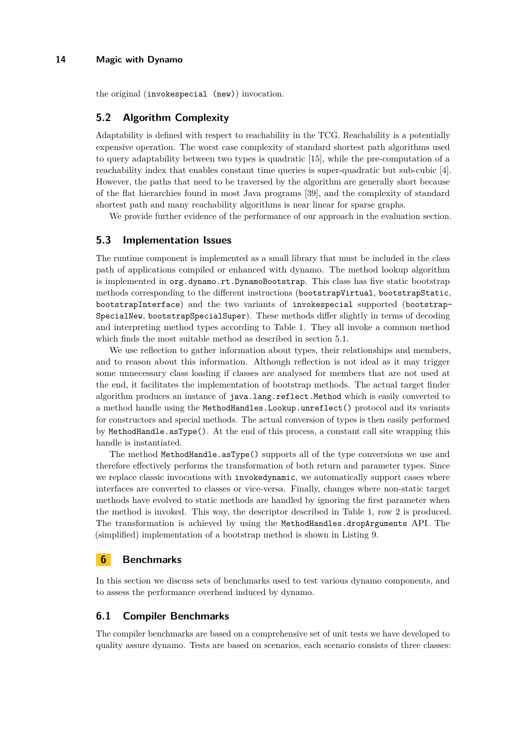the original (invokespecial (new)) invocation.

## **5.2 Algorithm Complexity**

Adaptability is defined with respect to reachability in the TCG. Reachability is a potentially expensive operation. The worst case complexity of standard shortest path algorithms used to query adaptability between two types is quadratic [\[15\]](#page-23-20), while the pre-computation of a reachability index that enables constant time queries is super-quadratic but sub-cubic [\[4\]](#page-23-21). However, the paths that need to be traversed by the algorithm are generally short because of the flat hierarchies found in most Java programs [\[39\]](#page-24-14), and the complexity of standard shortest path and many reachability algorithms is near linear for sparse graphs.

We provide further evidence of the performance of our approach in the evaluation section.

## **5.3 Implementation Issues**

The runtime component is implemented as a small library that must be included in the class path of applications compiled or enhanced with dynamo. The method lookup algorithm is implemented in org.dynamo.rt.DynamoBootstrap. This class has five static bootstrap methods corresponding to the different instructions (bootstrapVirtual, bootstrapStatic, bootstrapInterface) and the two variants of invokespecial supported (bootstrap-SpecialNew, bootstrapSpecialSuper). These methods differ slightly in terms of decoding and interpreting method types according to Table [1.](#page-7-0) They all invoke a common method which finds the most suitable method as described in section [5.1.](#page-10-3)

We use reflection to gather information about types, their relationships and members, and to reason about this information. Although reflection is not ideal as it may trigger some unnecessary class loading if classes are analysed for members that are not used at the end, it facilitates the implementation of bootstrap methods. The actual target finder algorithm produces an instance of java.lang.reflect.Method which is easily converted to a method handle using the MethodHandles.Lookup.unreflect() protocol and its variants for constructors and special methods. The actual conversion of types is then easily performed by MethodHandle.asType(). At the end of this process, a constant call site wrapping this handle is instantiated.

The method MethodHandle.asType() supports all of the type conversions we use and therefore effectively performs the transformation of both return and parameter types. Since we replace classic invocations with invokedynamic, we automatically support cases where interfaces are converted to classes or vice-versa. Finally, changes where non-static target methods have evolved to static methods are handled by ignoring the first parameter when the method is invoked. This way, the descriptor described in Table [1,](#page-7-0) row 2 is produced. The transformation is achieved by using the MethodHandles.dropArguments API. The (simplified) implementation of a bootstrap method is shown in Listing [9.](#page-14-0)

## <span id="page-13-0"></span>**6 Benchmarks**

In this section we discuss sets of benchmarks used to test various dynamo components, and to assess the performance overhead induced by dynamo.

## **6.1 Compiler Benchmarks**

The compiler benchmarks are based on a comprehensive set of unit tests we have developed to quality assure dynamo. Tests are based on scenarios, each scenario consists of three classes: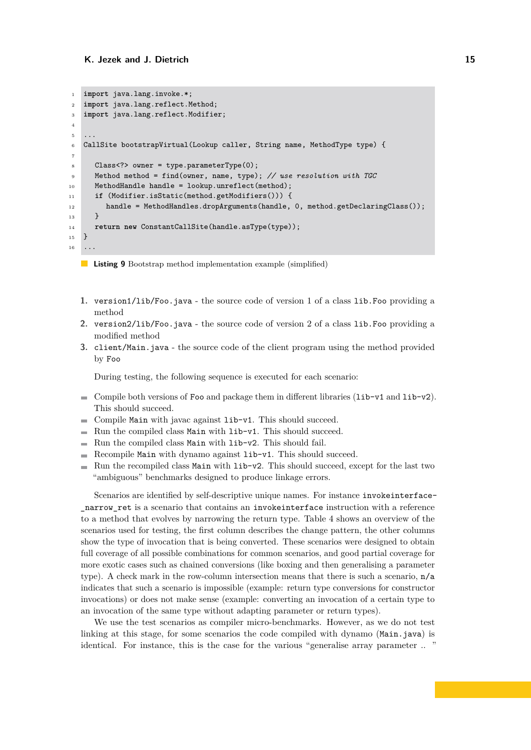```
1 import java.lang.invoke.*;
2 import java.lang.reflect.Method;
3 import java.lang.reflect.Modifier;
4
5 ...
6 CallSite bootstrapVirtual(Lookup caller, String name, MethodType type) {
7
8 Class<?> owner = type.parameterType(0);
9 Method method = find(owner, name, type); // use resolution with TGC
10 MethodHandle handle = lookup.unreflect(method);
11 if (Modifier.isStatic(method.getModifiers())) {
12 handle = MethodHandles.dropArguments(handle, 0, method.getDeclaringClass());
13 }
14 return new ConstantCallSite(handle.asType(type));
15 }
16 \ldots
```
**Listing 9** Bootstrap method implementation example (simplified)

- **1.** version1/lib/Foo.java the source code of version 1 of a class lib.Foo providing a method
- **2.** version2/lib/Foo.java the source code of version 2 of a class lib.Foo providing a modified method
- **3.** client/Main.java the source code of the client program using the method provided by Foo

During testing, the following sequence is executed for each scenario:

- Compile both versions of Foo and package them in different libraries  $(iib-v1$  and  $1ib-v2$ . This should succeed.
- Compile Main with javac against lib-v1. This should succeed. **College**
- $\blacksquare$  Run the compiled class Main with lib-v1. This should succeed.
- Run the compiled class Main with lib-v2. This should fail.  $\rightarrow$
- Recompile Main with dynamo against lib-v1. This should succeed.  $\sim$
- Run the recompiled class Main with lib-v2. This should succeed, except for the last two  $\equiv$ "ambiguous" benchmarks designed to produce linkage errors.

Scenarios are identified by self-descriptive unique names. For instance invokeinterface narrow ret is a scenario that contains an invokeinterface instruction with a reference to a method that evolves by narrowing the return type. Table [4](#page-15-0) shows an overview of the scenarios used for testing, the first column describes the change pattern, the other columns show the type of invocation that is being converted. These scenarios were designed to obtain full coverage of all possible combinations for common scenarios, and good partial coverage for more exotic cases such as chained conversions (like boxing and then generalising a parameter type). A check mark in the row-column intersection means that there is such a scenario, n/a indicates that such a scenario is impossible (example: return type conversions for constructor invocations) or does not make sense (example: converting an invocation of a certain type to an invocation of the same type without adapting parameter or return types).

We use the test scenarios as compiler micro-benchmarks. However, as we do not test linking at this stage, for some scenarios the code compiled with dynamo (Main.java) is identical. For instance, this is the case for the various "generalise array parameter .. "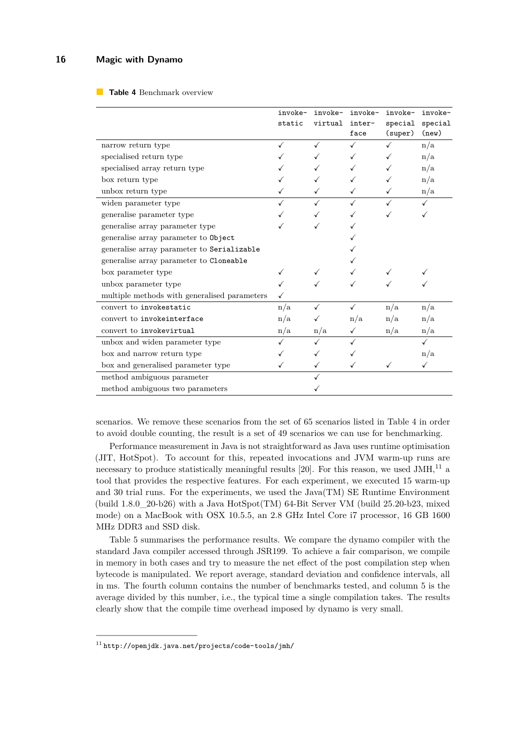#### <span id="page-15-0"></span>**Table 4** Benchmark overview

|                                              | invoke-<br>static | invoke-<br>virtual | invoke-<br>inter-<br>face | invoke-<br>special<br>(super) | invoke-<br>special<br>(new) |
|----------------------------------------------|-------------------|--------------------|---------------------------|-------------------------------|-----------------------------|
| narrow return type                           | ✓                 | ✓                  | ✓                         |                               | n/a                         |
| specialised return type                      |                   |                    |                           |                               | n/a                         |
| specialised array return type                |                   |                    |                           |                               | n/a                         |
| box return type                              |                   |                    |                           |                               | n/a                         |
| unbox return type                            |                   |                    |                           |                               | n/a                         |
| widen parameter type                         |                   |                    |                           |                               |                             |
| generalise parameter type                    |                   |                    |                           |                               |                             |
| generalise array parameter type              |                   |                    |                           |                               |                             |
| generalise array parameter to Object         |                   |                    |                           |                               |                             |
| generalise array parameter to Serializable   |                   |                    |                           |                               |                             |
| generalise array parameter to Cloneable      |                   |                    |                           |                               |                             |
| box parameter type                           |                   | ✓                  |                           |                               |                             |
| unbox parameter type                         |                   |                    |                           |                               |                             |
| multiple methods with generalised parameters |                   |                    |                           |                               |                             |
| convert to invokestatic                      | n/a               |                    |                           | n/a                           | n/a                         |
| convert to invokeinterface                   | n/a               |                    | n/a                       | n/a                           | n/a                         |
| convert to invokevirtual                     | n/a               | n/a                |                           | n/a                           | n/a                         |
| unbox and widen parameter type               |                   |                    |                           |                               |                             |
| box and narrow return type                   |                   |                    |                           |                               | n/a                         |
| box and generalised parameter type           |                   | ✓                  |                           |                               |                             |
| method ambiguous parameter                   |                   |                    |                           |                               |                             |
| method ambiguous two parameters              |                   |                    |                           |                               |                             |

scenarios. We remove these scenarios from the set of 65 scenarios listed in Table [4](#page-15-0) in order to avoid double counting, the result is a set of 49 scenarios we can use for benchmarking.

Performance measurement in Java is not straightforward as Java uses runtime optimisation (JIT, HotSpot). To account for this, repeated invocations and JVM warm-up runs are necessary to produce statistically meaningful results [\[20\]](#page-23-22). For this reason, we used  $JMH$ <sup>[11](#page-15-1)</sup> a tool that provides the respective features. For each experiment, we executed 15 warm-up and 30 trial runs. For the experiments, we used the Java(TM) SE Runtime Environment (build  $1.8.0\quad20-b26$ ) with a Java HotSpot(TM) 64-Bit Server VM (build 25.20-b23, mixed mode) on a MacBook with OSX 10.5.5, an 2.8 GHz Intel Core i7 processor, 16 GB 1600 MHz DDR3 and SSD disk.

Table [5](#page-16-1) summarises the performance results. We compare the dynamo compiler with the standard Java compiler accessed through JSR199. To achieve a fair comparison, we compile in memory in both cases and try to measure the net effect of the post compilation step when bytecode is manipulated. We report average, standard deviation and confidence intervals, all in ms. The fourth column contains the number of benchmarks tested, and column 5 is the average divided by this number, i.e., the typical time a single compilation takes. The results clearly show that the compile time overhead imposed by dynamo is very small.

<span id="page-15-1"></span> $11$ <http://openjdk.java.net/projects/code-tools/jmh/>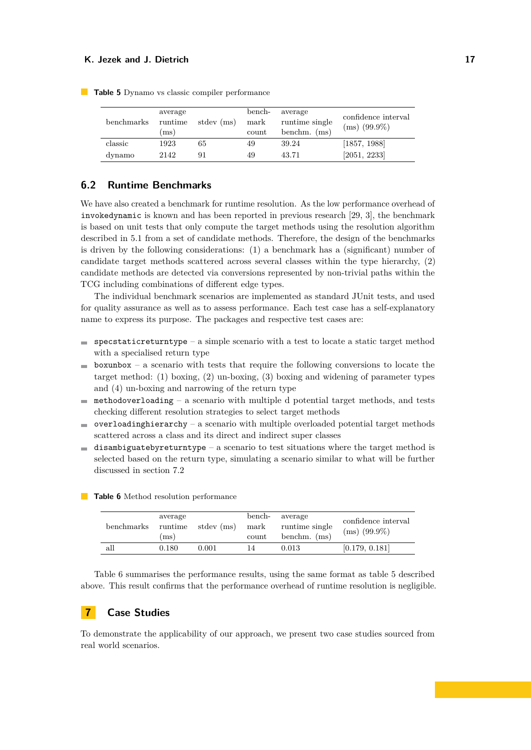| benchmarks | average<br>runtime<br>(ms) | stdev (ms) | bench-<br>mark<br>count | average<br>runtime single<br>benchm. $(ms)$ | confidence interval<br>$(ms)$ (99.9%) |
|------------|----------------------------|------------|-------------------------|---------------------------------------------|---------------------------------------|
| classic    | 1923                       | 65         | 49                      | 39.24                                       | [1857, 1988]                          |
| dynamo     | 2142                       | 91         | 49                      | 43.71                                       | [2051, 2233]                          |

<span id="page-16-1"></span>**Table 5** Dynamo vs classic compiler performance

# **6.2 Runtime Benchmarks**

We have also created a benchmark for runtime resolution. As the low performance overhead of invokedynamic is known and has been reported in previous research [\[29,](#page-24-8) [3\]](#page-23-17), the benchmark is based on unit tests that only compute the target methods using the resolution algorithm described in [5.1](#page-10-3) from a set of candidate methods. Therefore, the design of the benchmarks is driven by the following considerations: (1) a benchmark has a (significant) number of candidate target methods scattered across several classes within the type hierarchy, (2) candidate methods are detected via conversions represented by non-trivial paths within the TCG including combinations of different edge types.

The individual benchmark scenarios are implemented as standard JUnit tests, and used for quality assurance as well as to assess performance. Each test case has a self-explanatory name to express its purpose. The packages and respective test cases are:

- $\blacksquare$  specstaticreturntype a simple scenario with a test to locate a static target method with a specialised return type
- $\blacksquare$  boxunbox a scenario with tests that require the following conversions to locate the target method: (1) boxing, (2) un-boxing, (3) boxing and widening of parameter types and (4) un-boxing and narrowing of the return type
- methodoverloading a scenario with multiple d potential target methods, and tests m. checking different resolution strategies to select target methods
- $\blacksquare$  overloading hierarchy a scenario with multiple overloaded potential target methods scattered across a class and its direct and indirect super classes
- $\blacksquare$  disambiguateby returntype a scenario to test situations where the target method is selected based on the return type, simulating a scenario similar to what will be further discussed in section [7.2](#page-19-0)

| benchmarks | average<br>runtime<br>(ms) | stdev (ms) | bench-<br>mark<br>count | average<br>runtime single<br>benchm. $(ms)$ | confidence interval<br>$(ms)$ (99.9%) |
|------------|----------------------------|------------|-------------------------|---------------------------------------------|---------------------------------------|
| all        | 0.180                      | 0.001      | 14                      | 0.013                                       | [0.179, 0.181]                        |

<span id="page-16-2"></span>**Table 6** Method resolution performance

Table [6](#page-16-2) summarises the performance results, using the same format as table [5](#page-16-1) described above. This result confirms that the performance overhead of runtime resolution is negligible.

## <span id="page-16-0"></span>**7 Case Studies**

To demonstrate the applicability of our approach, we present two case studies sourced from real world scenarios.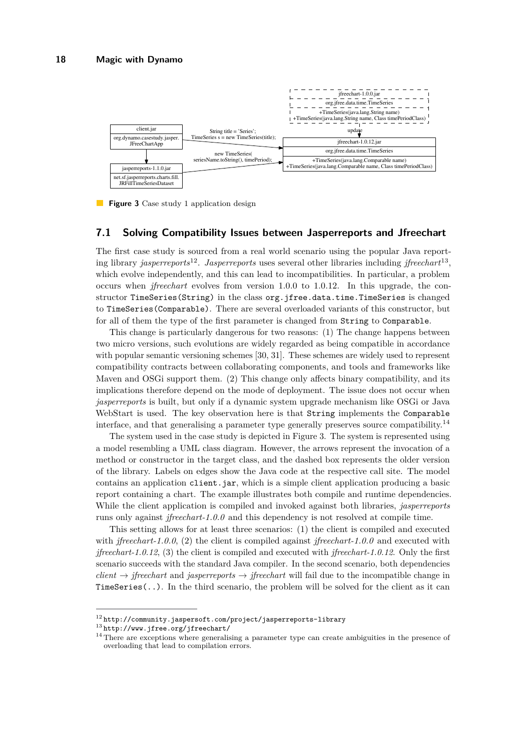<span id="page-17-3"></span>

**Figure 3** Case study 1 application design

#### **7.1 Solving Compatibility Issues between Jasperreports and Jfreechart**

The first case study is sourced from a real world scenario using the popular Java reporting library *jasperreports*[12](#page-17-0) . *Jasperreports* uses several other libraries including *jfreechart*[13](#page-17-1) , which evolve independently, and this can lead to incompatibilities. In particular, a problem occurs when *jfreechart* evolves from version 1.0.0 to 1.0.12. In this upgrade, the constructor TimeSeries(String) in the class org.jfree.data.time.TimeSeries is changed to TimeSeries(Comparable). There are several overloaded variants of this constructor, but for all of them the type of the first parameter is changed from String to Comparable.

This change is particularly dangerous for two reasons: (1) The change happens between two micro versions, such evolutions are widely regarded as being compatible in accordance with popular semantic versioning schemes [\[30,](#page-24-15) [31\]](#page-24-16). These schemes are widely used to represent compatibility contracts between collaborating components, and tools and frameworks like Maven and OSGi support them. (2) This change only affects binary compatibility, and its implications therefore depend on the mode of deployment. The issue does not occur when *jasperreports* is built, but only if a dynamic system upgrade mechanism like OSGi or Java WebStart is used. The key observation here is that String implements the Comparable interface, and that generalising a parameter type generally preserves source compatibility.[14](#page-17-2)

The system used in the case study is depicted in Figure [3.](#page-17-3) The system is represented using a model resembling a UML class diagram. However, the arrows represent the invocation of a method or constructor in the target class, and the dashed box represents the older version of the library. Labels on edges show the Java code at the respective call site. The model contains an application client.jar, which is a simple client application producing a basic report containing a chart. The example illustrates both compile and runtime dependencies. While the client application is compiled and invoked against both libraries, *jasperreports* runs only against *jfreechart-1.0.0* and this dependency is not resolved at compile time.

This setting allows for at least three scenarios: (1) the client is compiled and executed with *jfreechart-1.0.0*, (2) the client is compiled against *jfreechart-1.0.0* and executed with *jfreechart-1.0.12*, (3) the client is compiled and executed with *jfreechart-1.0.12*. Only the first scenario succeeds with the standard Java compiler. In the second scenario, both dependencies  $client \rightarrow jfreechart$  and *jasperreports*  $\rightarrow jfreechart$  will fail due to the incompatible change in TimeSeries(..). In the third scenario, the problem will be solved for the client as it can

<span id="page-17-0"></span> $^{12}\mathrm{http://community.jaspersoft.com/project/jasperreports-library}$  $^{12}\mathrm{http://community.jaspersoft.com/project/jasperreports-library}$  $^{12}\mathrm{http://community.jaspersoft.com/project/jasperreports-library}$ 

<span id="page-17-1"></span><sup>13</sup> <http://www.jfree.org/jfreechart/>

<span id="page-17-2"></span><sup>&</sup>lt;sup>14</sup> There are exceptions where generalising a parameter type can create ambiguities in the presence of overloading that lead to compilation errors.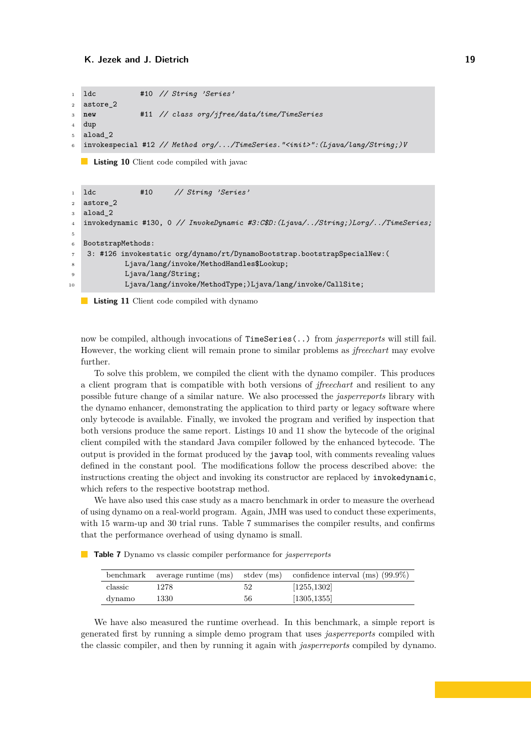```
1 ldc #10 // String 'Series'
2 astore_2
3 new #11 // class org/jfree/data/time/TimeSeries
4 dup
5 aload_2
6 invokespecial #12 // Method org/.../TimeSeries."<init>":(Ljava/lang/String;)V
```
**Listing 10** Client code compiled with javac

```
1 ldc #10 // String 'Series'
2 astore_2
3 aload_2
4 invokedynamic #130, 0 // InvokeDynamic #3:C$D:(Ljava/../String;)Lorg/../TimeSeries;
5
6 BootstrapMethods:
7 3: #126 invokestatic org/dynamo/rt/DynamoBootstrap.bootstrapSpecialNew:(
            Ljava/lang/invoke/MethodHandles$Lookup;
9 Ljava/lang/String;
10 Ljava/lang/invoke/MethodType;)Ljava/lang/invoke/CallSite;
```
**Listing 11** Client code compiled with dynamo **College** 

now be compiled, although invocations of TimeSeries(..) from *jasperreports* will still fail. However, the working client will remain prone to similar problems as *jfreechart* may evolve further.

To solve this problem, we compiled the client with the dynamo compiler. This produces a client program that is compatible with both versions of *jfreechart* and resilient to any possible future change of a similar nature. We also processed the *jasperreports* library with the dynamo enhancer, demonstrating the application to third party or legacy software where only bytecode is available. Finally, we invoked the program and verified by inspection that both versions produce the same report. Listings [10](#page-18-0) and [11](#page-18-1) show the bytecode of the original client compiled with the standard Java compiler followed by the enhanced bytecode. The output is provided in the format produced by the javap tool, with comments revealing values defined in the constant pool. The modifications follow the process described above: the instructions creating the object and invoking its constructor are replaced by invokedynamic, which refers to the respective bootstrap method.

We have also used this case study as a macro benchmark in order to measure the overhead of using dynamo on a real-world program. Again, JMH was used to conduct these experiments, with 15 warm-up and 30 trial runs. Table [7](#page-18-2) summarises the compiler results, and confirms that the performance overhead of using dynamo is small.

<span id="page-18-2"></span>**Table 7** Dynamo vs classic compiler performance for *jasperreports*

|         |      |    | benchmark average runtime (ms) stdev (ms) confidence interval (ms) $(99.9\%)$ |
|---------|------|----|-------------------------------------------------------------------------------|
| classic | 1278 | 52 | [1255, 1302]                                                                  |
| dynamo  | 1330 | 56 | [1305, 1355]                                                                  |

We have also measured the runtime overhead. In this benchmark, a simple report is generated first by running a simple demo program that uses *jasperreports* compiled with the classic compiler, and then by running it again with *jasperreports* compiled by dynamo.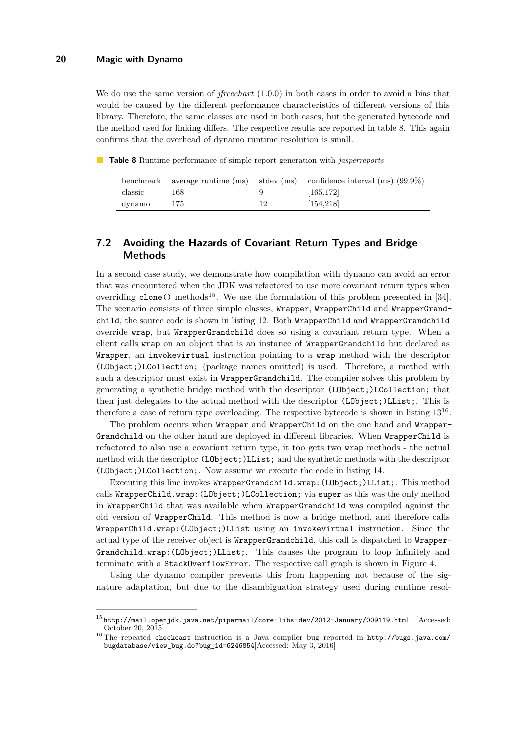We do use the same version of *jfreechart* (1.0.0) in both cases in order to avoid a bias that would be caused by the different performance characteristics of different versions of this library. Therefore, the same classes are used in both cases, but the generated bytecode and the method used for linking differs. The respective results are reported in table [8.](#page-19-1) This again confirms that the overhead of dynamo runtime resolution is small.

<span id="page-19-1"></span>**Table 8** Runtime performance of simple report generation with *jasperreports*

|         |     | benchmark average runtime $(ms)$ stdev $(ms)$ confidence interval $(ms)$ (99.9%) |
|---------|-----|----------------------------------------------------------------------------------|
| classic | 168 | [165, 172]                                                                       |
| dynamo  | 175 | [154, 218]                                                                       |

# <span id="page-19-0"></span>**7.2 Avoiding the Hazards of Covariant Return Types and Bridge Methods**

In a second case study, we demonstrate how compilation with dynamo can avoid an error that was encountered when the JDK was refactored to use more covariant return types when overriding  $\text{clone}()$  methods<sup>[15](#page-19-2)</sup>. We use the formulation of this problem presented in [\[34\]](#page-24-17). The scenario consists of three simple classes, Wrapper, WrapperChild and WrapperGrandchild, the source code is shown in listing [12.](#page-20-0) Both WrapperChild and WrapperGrandchild override wrap, but WrapperGrandchild does so using a covariant return type. When a client calls wrap on an object that is an instance of WrapperGrandchild but declared as Wrapper, an invokevirtual instruction pointing to a wrap method with the descriptor (LObject;)LCollection; (package names omitted) is used. Therefore, a method with such a descriptor must exist in WrapperGrandchild. The compiler solves this problem by generating a synthetic bridge method with the descriptor (LObject;)LCollection; that then just delegates to the actual method with the descriptor (LObject;)LList;. This is therefore a case of return type overloading. The respective bytecode is shown in listing [13](#page-20-1)<sup>[16](#page-19-3)</sup>.

The problem occurs when Wrapper and WrapperChild on the one hand and Wrapper-Grandchild on the other hand are deployed in different libraries. When WrapperChild is refactored to also use a covariant return type, it too gets two wrap methods - the actual method with the descriptor (LObject;)LList; and the synthetic methods with the descriptor (LObject;)LCollection;. Now assume we execute the code in listing [14.](#page-20-2)

Executing this line invokes WrapperGrandchild.wrap:(LObject;)LList;. This method calls WrapperChild.wrap:(LObject;)LCollection; via super as this was the only method in WrapperChild that was available when WrapperGrandchild was compiled against the old version of WrapperChild. This method is now a bridge method, and therefore calls WrapperChild.wrap:(LObject;)LList using an invokevirtual instruction. Since the actual type of the receiver object is WrapperGrandchild, this call is dispatched to Wrapper-Grandchild.wrap:(LObject;)LList;. This causes the program to loop infinitely and terminate with a StackOverflowError. The respective call graph is shown in Figure [4.](#page-21-0)

Using the dynamo compiler prevents this from happening not because of the signature adaptation, but due to the disambiguation strategy used during runtime resol-

<span id="page-19-2"></span> $15$ <http://mail.openjdk.java.net/pipermail/core-libs-dev/2012-January/009119.html> [Accessed: October 20, 2015]

<span id="page-19-3"></span><sup>16</sup> The repeated checkcast instruction is a Java compiler bug reported in [http://bugs.java.com/](http://bugs.java.com/bugdatabase/view_bug.do?bug_id=6246854) [bugdatabase/view\\_bug.do?bug\\_id=6246854](http://bugs.java.com/bugdatabase/view_bug.do?bug_id=6246854)[Accessed: May 3, 2016]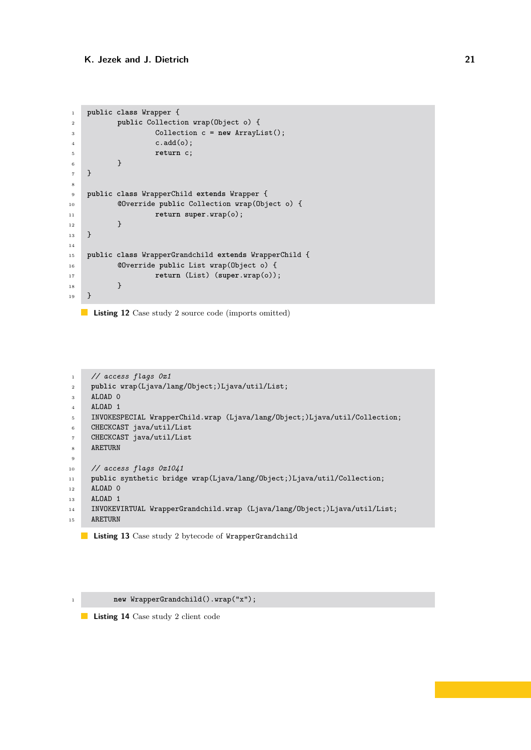```
1 public class Wrapper {
2 public Collection wrap(Object o) {
3 Collection c = new ArrayList();
\ddot{c} \cdot \text{add}(o);5 return c;
 6 }
7 }
8
9 public class WrapperChild extends Wrapper {
10 @Override public Collection wrap(Object o) {
11 return super.wrap(o);
\begin{array}{ccc} & & & \text{ } \\ 12 & & & \end{array}13 }
14
15 public class WrapperGrandchild extends WrapperChild {
16 @Override public List wrap(Object o) {
17 return (List) (super.wrap(o));
18 }
_{19} \, }
```
**Listing 12** Case study 2 source code (imports omitted)

```
1 // access flags 0x1
2 public wrap(Ljava/lang/Object;)Ljava/util/List;
3 ALOAD 0
4 ALOAD 1
5 INVOKESPECIAL WrapperChild.wrap (Ljava/lang/Object;)Ljava/util/Collection;
6 CHECKCAST java/util/List
7 CHECKCAST java/util/List
8 ARETURN
\alpha10 // access flags 0x1041
11 public synthetic bridge wrap(Ljava/lang/Object;)Ljava/util/Collection;
12 ALOAD 0
13 ALOAD 1
14 INVOKEVIRTUAL WrapperGrandchild.wrap (Ljava/lang/Object;)Ljava/util/List;
15 ARETURN
```
**Listing 13** Case study 2 bytecode of WrapperGrandchild

<span id="page-20-2"></span>

**Listing 14** Case study 2 client code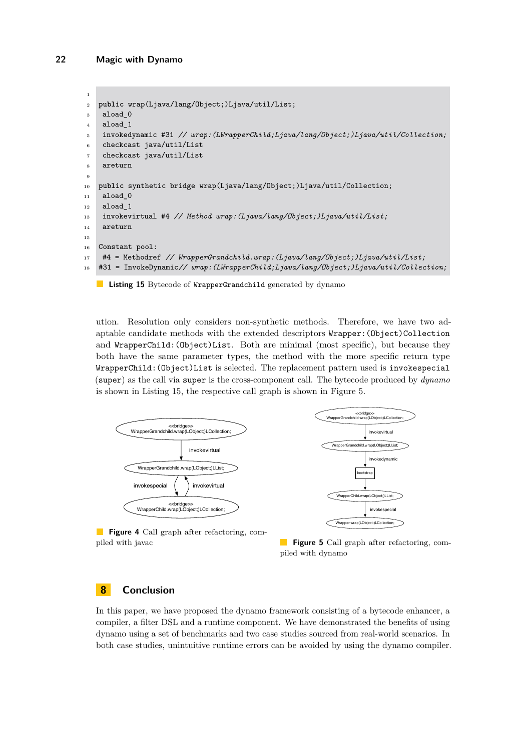```
1
2 public wrap(Ljava/lang/Object;)Ljava/util/List;
3 aload_0
4 aload_1
5 invokedynamic #31 // wrap:(LWrapperChild;Ljava/lang/Object;)Ljava/util/Collection;
6 checkcast java/util/List
7 checkcast java/util/List
8 areturn
9
10 public synthetic bridge wrap(Ljava/lang/Object;)Ljava/util/Collection;
11 aload 0
12 aload_1
13 invokevirtual #4 // Method wrap:(Ljava/lang/Object;)Ljava/util/List;
14 areturn
15
16 Constant pool:
17 #4 = Methodref // WrapperGrandchild.wrap:(Ljava/lang/Object;)Ljava/util/List;
18 #31 = InvokeDynamic// wrap:(LWrapperChild;Ljava/lang/Object;)Ljava/util/Collection;
```
**Listing 15** Bytecode of WrapperGrandchild generated by dynamo

ution. Resolution only considers non-synthetic methods. Therefore, we have two adaptable candidate methods with the extended descriptors  $W$ rapper: (Object)Collection and WrapperChild:(Object)List. Both are minimal (most specific), but because they both have the same parameter types, the method with the more specific return type WrapperChild:(Object)List is selected. The replacement pattern used is invokespecial (super) as the call via super is the cross-component call. The bytecode produced by *dynamo* is shown in Listing [15,](#page-21-1) the respective call graph is shown in Figure [5.](#page-21-0)

<span id="page-21-0"></span>

**Figure 5** Call graph after refactoring, compiled with dynamo

# **8 Conclusion**

piled with javac

In this paper, we have proposed the dynamo framework consisting of a bytecode enhancer, a compiler, a filter DSL and a runtime component. We have demonstrated the benefits of using dynamo using a set of benchmarks and two case studies sourced from real-world scenarios. In both case studies, unintuitive runtime errors can be avoided by using the dynamo compiler.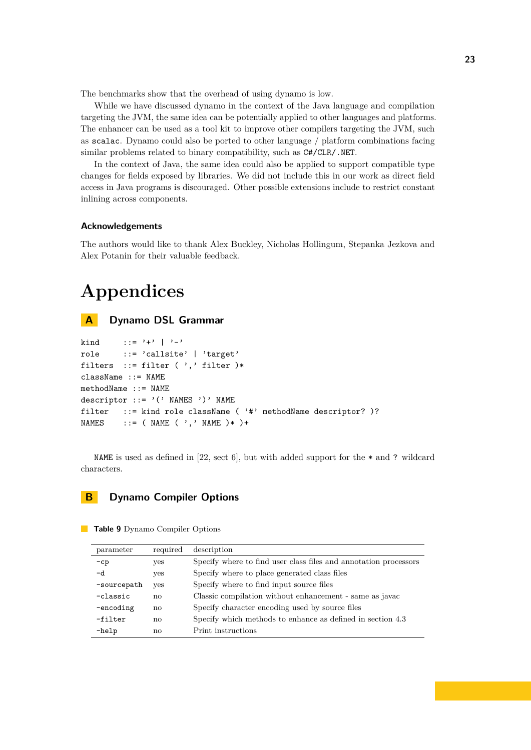The benchmarks show that the overhead of using dynamo is low.

While we have discussed dynamo in the context of the Java language and compilation targeting the JVM, the same idea can be potentially applied to other languages and platforms. The enhancer can be used as a tool kit to improve other compilers targeting the JVM, such as scalac. Dynamo could also be ported to other language / platform combinations facing similar problems related to binary compatibility, such as C#/CLR/.NET.

In the context of Java, the same idea could also be applied to support compatible type changes for fields exposed by libraries. We did not include this in our work as direct field access in Java programs is discouraged. Other possible extensions include to restrict constant inlining across components.

#### **Acknowledgements**

The authors would like to thank Alex Buckley, Nicholas Hollingum, Stepanka Jezkova and Alex Potanin for their valuable feedback.

# **Appendices**

# <span id="page-22-1"></span>**A Dynamo DSL Grammar**

```
kind ::= '+' | '-'
role ::= 'callsite' | 'target'
filters ::= filter ( ', ' filter )*className ::= NAME
methodName ::= NAME
descriptor ::= '(' NAMES ')' NAME
filter ::= kind role className ( '#' methodName descriptor? )?
NAMES ::= (NAME (',' NAME )* )+
```
NAME is used as defined in [\[22,](#page-23-4) sect 6], but with added support for the  $*$  and ? wildcard characters.

## <span id="page-22-0"></span>**B Dynamo Compiler Options**

| parameter   | required | description                                                      |
|-------------|----------|------------------------------------------------------------------|
| $-cp$       | yes      | Specify where to find user class files and annotation processors |
| -d          | yes      | Specify where to place generated class files                     |
| -sourcepath | yes      | Specify where to find input source files                         |
| -classic    | no       | Classic compilation without enhancement - same as javac          |
| -encoding   | no       | Specify character encoding used by source files                  |
| -filter     | no       | Specify which methods to enhance as defined in section 4.3       |
| $-help$     | no       | Print instructions                                               |
|             |          |                                                                  |

**Table 9** Dynamo Compiler Options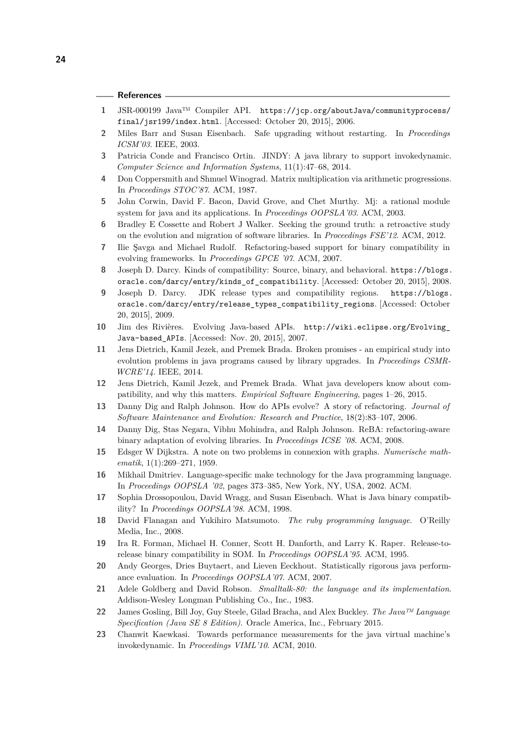#### **References**

- <span id="page-23-18"></span>**1** JSR-000199 Java™ Compiler API. [https://jcp.org/aboutJava/communityprocess/](https://jcp.org/aboutJava/communityprocess/final/jsr199/index.html) [final/jsr199/index.html](https://jcp.org/aboutJava/communityprocess/final/jsr199/index.html). [Accessed: October 20, 2015], 2006.
- <span id="page-23-12"></span>**2** Miles Barr and Susan Eisenbach. Safe upgrading without restarting. In *Proceedings ICSM'03*. IEEE, 2003.
- <span id="page-23-17"></span>**3** Patricia Conde and Francisco Ortin. JINDY: A java library to support invokedynamic. *Computer Science and Information Systems*, 11(1):47–68, 2014.
- <span id="page-23-21"></span>**4** Don Coppersmith and Shmuel Winograd. Matrix multiplication via arithmetic progressions. In *Proceedings STOC'87*. ACM, 1987.
- <span id="page-23-15"></span>**5** John Corwin, David F. Bacon, David Grove, and Chet Murthy. Mj: a rational module system for java and its applications. In *Proceedings OOPSLA'03*. ACM, 2003.
- <span id="page-23-1"></span>**6** Bradley E Cossette and Robert J Walker. Seeking the ground truth: a retroactive study on the evolution and migration of software libraries. In *Proceedings FSE'12*. ACM, 2012.
- <span id="page-23-14"></span>**7** Ilie Şavga and Michael Rudolf. Refactoring-based support for binary compatibility in evolving frameworks. In *Proceedings GPCE '07*. ACM, 2007.
- <span id="page-23-3"></span>**8** Joseph D. Darcy. Kinds of compatibility: Source, binary, and behavioral. [https://blogs.](https://blogs.oracle.com/darcy/entry/kinds_of_compatibility) [oracle.com/darcy/entry/kinds\\_of\\_compatibility](https://blogs.oracle.com/darcy/entry/kinds_of_compatibility). [Accessed: October 20, 2015], 2008.
- <span id="page-23-19"></span>**9** Joseph D. Darcy. JDK release types and compatibility regions. [https://blogs.](https://blogs.oracle.com/darcy/entry/release_types_compatibility_regions) [oracle.com/darcy/entry/release\\_types\\_compatibility\\_regions](https://blogs.oracle.com/darcy/entry/release_types_compatibility_regions). [Accessed: October 20, 2015], 2009.
- <span id="page-23-10"></span>**10** Jim des Rivières. Evolving Java-based APIs. [http://wiki.eclipse.org/Evolving\\_](http://wiki.eclipse.org/Evolving_Java-based_APIs) [Java-based\\_APIs](http://wiki.eclipse.org/Evolving_Java-based_APIs). [Accessed: Nov. 20, 2015], 2007.
- <span id="page-23-2"></span>**11** Jens Dietrich, Kamil Jezek, and Premek Brada. Broken promises - an empirical study into evolution problems in java programs caused by library upgrades. In *Proceedings CSMR-WCRE'14*. IEEE, 2014.
- <span id="page-23-5"></span>**12** Jens Dietrich, Kamil Jezek, and Premek Brada. What java developers know about compatibility, and why this matters. *Empirical Software Engineering*, pages 1–26, 2015.
- <span id="page-23-0"></span>**13** Danny Dig and Ralph Johnson. How do APIs evolve? A story of refactoring. *Journal of Software Maintenance and Evolution: Research and Practice*, 18(2):83–107, 2006.
- <span id="page-23-13"></span>**14** Danny Dig, Stas Negara, Vibhu Mohindra, and Ralph Johnson. ReBA: refactoring-aware binary adaptation of evolving libraries. In *Proceedings ICSE '08*. ACM, 2008.
- <span id="page-23-20"></span>**15** Edsger W Dijkstra. A note on two problems in connexion with graphs. *Numerische mathematik*, 1(1):269–271, 1959.
- <span id="page-23-11"></span>**16** Mikhail Dmitriev. Language-specific make technology for the Java programming language. In *Proceedings OOPSLA '02*, pages 373–385, New York, NY, USA, 2002. ACM.
- <span id="page-23-9"></span>**17** Sophia Drossopoulou, David Wragg, and Susan Eisenbach. What is Java binary compatibility? In *Proceedings OOPSLA'98*. ACM, 1998.
- <span id="page-23-7"></span>**18** David Flanagan and Yukihiro Matsumoto. *The ruby programming language*. O'Reilly Media, Inc., 2008.
- <span id="page-23-8"></span>**19** Ira R. Forman, Michael H. Conner, Scott H. Danforth, and Larry K. Raper. Release-torelease binary compatibility in SOM. In *Proceedings OOPSLA'95*. ACM, 1995.
- <span id="page-23-22"></span>**20** Andy Georges, Dries Buytaert, and Lieven Eeckhout. Statistically rigorous java performance evaluation. In *Proceedings OOPSLA'07*. ACM, 2007.
- <span id="page-23-6"></span>**21** Adele Goldberg and David Robson. *Smalltalk-80: the language and its implementation*. Addison-Wesley Longman Publishing Co., Inc., 1983.
- <span id="page-23-4"></span>**22** James Gosling, Bill Joy, Guy Steele, Gilad Bracha, and Alex Buckley. *The Java™ Language Specification (Java SE 8 Edition)*. Oracle America, Inc., February 2015.
- <span id="page-23-16"></span>**23** Chanwit Kaewkasi. Towards performance measurements for the java virtual machine's invokedynamic. In *Proceedings VIML'10*. ACM, 2010.